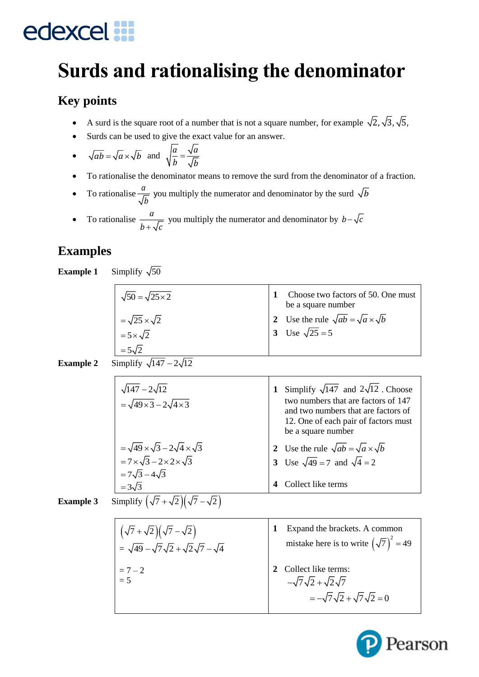### **Surds and rationalising the denominator**

### **Key points**

- A surd is the square root of a number that is not a square number, for example  $\sqrt{2}$ ,  $\sqrt{3}$ ,  $\sqrt{5}$ ,
- Surds can be used to give the exact value for an answer.
- $\sqrt{ab} = \sqrt{a} \times \sqrt{b}$  and  $\sqrt{\frac{a}{b}} = \frac{\sqrt{a}}{\sqrt{b}}$  $\overline{b}$  =  $\overline{\sqrt{b}}$
- To rationalise the denominator means to remove the surd from the denominator of a fraction.
- To rationalise  $\frac{a}{b}$ you multiply the numerator and denominator by the surd  $\sqrt{b}$
- To rationalise  $\frac{a}{a}$  $\frac{a}{b + \sqrt{c}}$  you multiply the numerator and denominator by  $b - \sqrt{c}$

### **Examples**

**Example 1** Simplify  $\sqrt{50}$ 

| $\sqrt{50} = \sqrt{25 \times 2}$ | Choose two factors of 50. One must<br>be a square number |
|----------------------------------|----------------------------------------------------------|
| $=\sqrt{25}\times\sqrt{2}$       | 2 Use the rule $\sqrt{ab} = \sqrt{a} \times \sqrt{b}$    |
| $=5\times\sqrt{2}$               | 3 Use $\sqrt{25} = 5$                                    |
| $=5\sqrt{2}$                     |                                                          |
| .                                |                                                          |

#### **Example 2** Simplify  $\sqrt{147} - 2\sqrt{12}$

| $\sqrt{147} - 2\sqrt{12}$<br>$=\sqrt{49\times3}-2\sqrt{4\times3}$ | Simplify $\sqrt{147}$ and $2\sqrt{12}$ . Choose<br>1<br>two numbers that are factors of 147<br>and two numbers that are factors of<br>12. One of each pair of factors must<br>be a square number |
|-------------------------------------------------------------------|--------------------------------------------------------------------------------------------------------------------------------------------------------------------------------------------------|
| $=\sqrt{49}\times\sqrt{3}-2\sqrt{4}\times\sqrt{3}$                | Use the rule $\sqrt{ab} = \sqrt{a} \times \sqrt{b}$<br>$\mathbf{2}$                                                                                                                              |
| $=7\times\sqrt{3}-2\times2\times\sqrt{3}$                         | 3 Use $\sqrt{49} = 7$ and $\sqrt{4} = 2$                                                                                                                                                         |
| $=7\sqrt{3}-4\sqrt{3}$                                            |                                                                                                                                                                                                  |
| $=3\sqrt{3}$                                                      | Collect like terms                                                                                                                                                                               |
| $\overline{\phantom{a}}$                                          |                                                                                                                                                                                                  |

**Example 3** Simplify  $(\sqrt{7} + \sqrt{2})(\sqrt{7} - \sqrt{2})$ 

| $\left(\sqrt{7}+\sqrt{2}\right)\left(\sqrt{7}-\sqrt{2}\right)$ | Expand the brackets. A common                                                                          |
|----------------------------------------------------------------|--------------------------------------------------------------------------------------------------------|
| = $\sqrt{49} - \sqrt{7}\sqrt{2} + \sqrt{2}\sqrt{7} - \sqrt{4}$ | mistake here is to write $(\sqrt{7})^2 = 49$                                                           |
| $= 7 - 2$<br>= 5                                               | Collect like terms:<br>$-\sqrt{7}\sqrt{2}+\sqrt{2}\sqrt{7}$<br>$=-\sqrt{7}\sqrt{2}+\sqrt{7}\sqrt{2}=0$ |

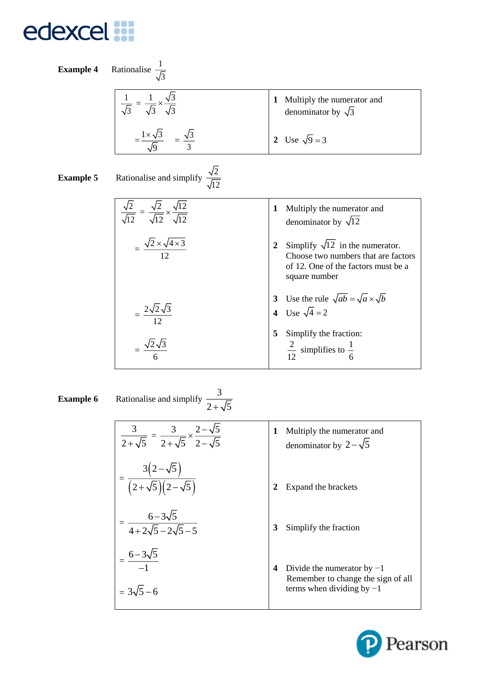Example 4 Rationalise 
$$
\frac{1}{\sqrt{3}}
$$
  
\n
$$
\frac{1}{\sqrt{3}} = \frac{1}{\sqrt{3}} \times \frac{\sqrt{3}}{\sqrt{3}}
$$
\n
$$
= \frac{1 \times \sqrt{3}}{\sqrt{9}} = \frac{\sqrt{3}}{3}
$$
\nExample 5 Rationalise and simplify  $\frac{\sqrt{2}}{\sqrt{12}}$   
\n
$$
= \frac{\sqrt{2}}{\sqrt{12}} \times \frac{\sqrt{12}}{\sqrt{12}}
$$
\n
$$
= \frac{\sqrt{2} \times \sqrt{4 \times 3}}{12}
$$
\n
$$
= \frac{2\sqrt{2}\sqrt{3}}{12}
$$
\n
$$
= \frac{2\sqrt{2}\sqrt{3}}{12}
$$
\n
$$
= \frac{2\sqrt{2}\sqrt{3}}{12}
$$
\n
$$
= \frac{2\sqrt{2}\sqrt{3}}{12}
$$
\n
$$
= \frac{2\sqrt{2}\sqrt{3}}{12}
$$
\n
$$
= \frac{2\sqrt{2}\sqrt{3}}{12}
$$
\n
$$
= \frac{\sqrt{2}\sqrt{3}}{6}
$$
\n
$$
= \frac{2\sqrt{2}\sqrt{3}}{6}
$$
\n
$$
= \frac{2}{12}
$$
\n
$$
= \frac{2\sqrt{3}}{6}
$$
\n
$$
= \frac{2}{12}
$$
\n
$$
= \frac{2}{12}
$$
\n
$$
= \frac{2\sqrt{3}}{6}
$$
\n
$$
= \frac{2}{12}
$$
\n
$$
= \frac{2}{12}
$$
\n
$$
= \frac{2}{12}
$$
\n
$$
= \frac{2}{12}
$$
\n
$$
= \frac{2}{12}
$$
\n
$$
= \frac{2}{12}
$$
\n
$$
= \frac{2}{12}
$$
\n
$$
= \frac{2}{12}
$$
\n
$$
= \frac{2}{12}
$$
\n
$$
= \frac{2}{12}
$$
\n
$$
= \frac{2}{12}
$$
\n
$$
= \frac{2}{12}
$$
\n
$$
= \frac{2}{12}
$$
\n
$$
= \frac{2}{12}
$$
\n $$ 

#### **Example 6** Rationalise and simplify  $\frac{3}{2}$  $2 + \sqrt{5}$

| $\frac{3}{2+\sqrt{5}} = \frac{3}{2+\sqrt{5}} \times \frac{2-\sqrt{5}}{2-\sqrt{5}}$ | Multiply the numerator and<br>1<br>denominator by $2-\sqrt{5}$                                         |
|------------------------------------------------------------------------------------|--------------------------------------------------------------------------------------------------------|
| $=\frac{3(2-\sqrt{5})}{(2+\sqrt{5})(2-\sqrt{5})}$                                  | Expand the brackets                                                                                    |
| $=\frac{6-3\sqrt{5}}{4+2\sqrt{5}-2\sqrt{5}-5}$                                     | Simplify the fraction<br>3                                                                             |
| $=\frac{6-3\sqrt{5}}{-1}$<br>$=3\sqrt{5}-6$                                        | Divide the numerator by $-1$<br>4<br>Remember to change the sign of all<br>terms when dividing by $-1$ |

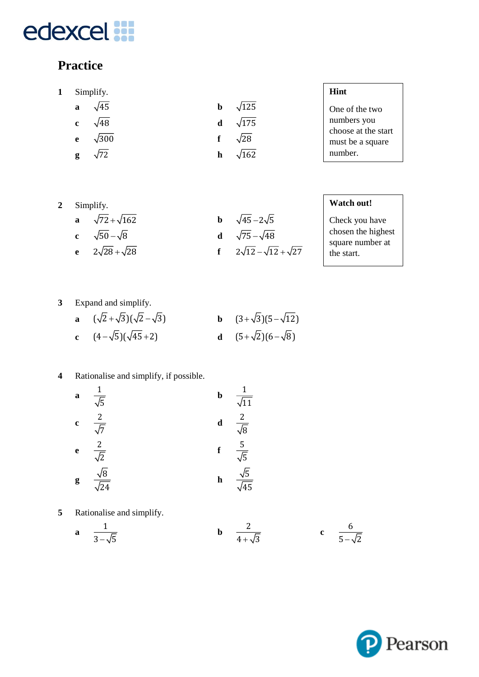### **Practice**

- **1** Simplify.
	- **a**  $\sqrt{45}$ **b**  $\sqrt{125}$ **c**  $\sqrt{48}$ **d**  $\sqrt{175}$ **e**  $\sqrt{300}$ **f**  $\sqrt{28}$  $\sqrt{162}$
	- **g**  $\sqrt{72}$ **h**

One of the two numbers you choose at the start must be a square number.

| Simplify. |
|-----------|
|           |

**a**  $\sqrt{72} + \sqrt{162}$ **b**  $\sqrt{45 - 2\sqrt{5}}$ **c**  $\sqrt{50} - \sqrt{8}$  **d d**  $\sqrt{75} - \sqrt{48}$ **e**  $2\sqrt{28} + \sqrt{28}$ **f**  $2\sqrt{12} - \sqrt{12} + \sqrt{27}$ 

**Watch out!**

Check you have chosen the highest square number at the start.

**3** Expand and simplify.

| a $(\sqrt{2}+\sqrt{3})(\sqrt{2}-\sqrt{3})$ | <b>b</b> $(3+\sqrt{3})(5-\sqrt{12})$ |
|--------------------------------------------|--------------------------------------|
| c $(4-\sqrt{5})(\sqrt{45}+2)$              | <b>d</b> $(5+\sqrt{2})(6-\sqrt{8})$  |

#### **4** Rationalise and simplify, if possible.

- **a** 1 5 **b**  $\frac{1}{\sqrt{2}}$ 11 c  $\frac{2}{\tau}$ 7 **d**  $-\frac{2}{\tau}$ 8  $e \frac{2}{\pi}$ 2 **f** 5 5 **g** 8 24 **h**  $\frac{\sqrt{5}}{5}$ 45
- **5** Rationalise and simplify.

**a** 
$$
\frac{1}{3-\sqrt{5}}
$$
 **b**  $\frac{2}{4+\sqrt{3}}$  **c**  $\frac{6}{5-\sqrt{2}}$ 

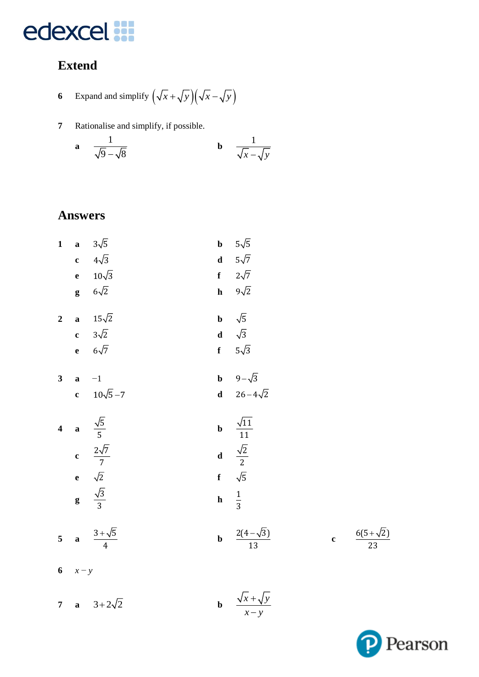### **Extend**

6 Expand and simplify 
$$
\left(\sqrt{x} + \sqrt{y}\right)\left(\sqrt{x} - \sqrt{y}\right)
$$

Rationalise and simplify, if possible.  $\boldsymbol{7}$ 

a 
$$
\frac{1}{\sqrt{9}-\sqrt{8}}
$$
 b  $\frac{1}{\sqrt{x}-\sqrt{y}}$ 

#### **Answers**

7 **a**  $3+2\sqrt{2}$ 

|                         | 1 a $3\sqrt{5}$                        |             | <b>b</b> $5\sqrt{5}$                          |
|-------------------------|----------------------------------------|-------------|-----------------------------------------------|
|                         | c $4\sqrt{3}$                          |             | <b>d</b> $5\sqrt{7}$                          |
|                         | e $10\sqrt{3}$                         |             | f $2\sqrt{7}$                                 |
|                         | $g \quad 6\sqrt{2}$                    |             | h $9\sqrt{2}$                                 |
|                         | 2 <b>a</b> $15\sqrt{2}$                |             | <b>b</b> $\sqrt{5}$                           |
|                         | c $3\sqrt{2}$                          |             | <b>d</b> $\sqrt{3}$                           |
|                         | e $6\sqrt{7}$                          |             | f $5\sqrt{3}$                                 |
| $\overline{\mathbf{3}}$ | $a -1$                                 |             | <b>b</b> $9-\sqrt{3}$                         |
|                         | c $10\sqrt{5}-7$                       |             | <b>d</b> $26-4\sqrt{2}$                       |
|                         |                                        |             |                                               |
|                         | 4 <b>a</b> $\frac{\sqrt{5}}{5}$        | $\mathbf b$ | $\frac{\sqrt{11}}{11}$                        |
|                         |                                        |             |                                               |
|                         | <b>c</b> $\frac{2\sqrt{7}}{7}$         |             | <b>d</b> $\frac{\sqrt{2}}{2}$<br>f $\sqrt{5}$ |
|                         | e $\sqrt{2}$<br>g $\frac{\sqrt{3}}{3}$ |             | h $\frac{1}{3}$                               |
|                         | 5 <b>a</b> $\frac{3+\sqrt{5}}{4}$      |             | <b>b</b> $\frac{2(4-\sqrt{3})}{13}$           |

**b**  $\frac{\sqrt{x} + \sqrt{y}}{x - y}$ 



 $\frac{6(5+\sqrt{2})}{23}$ 

 $\mathbf{c}$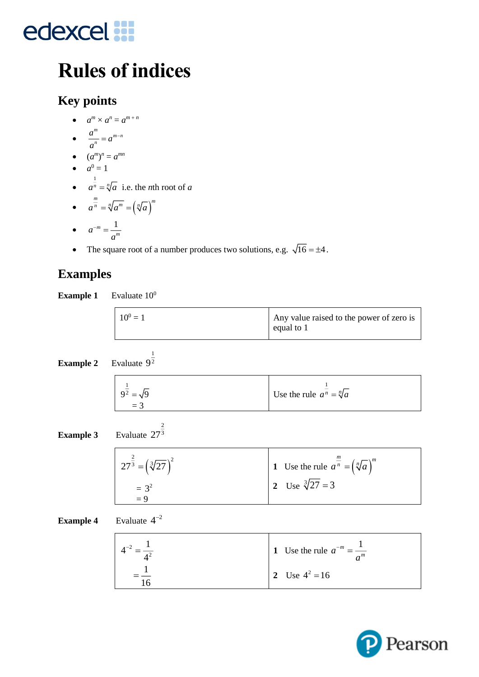### **Rules of indices**

### **Key points**

- $a^m \times a^n = a^{m+n}$
- $\frac{a^m}{b} = a^{m-n}$  $\frac{a}{a}$  = a *a*  $= a^{m}$
- $(a^m)^n = a^{mn}$
- $a^0 = 1$
- $\bullet$   $\frac{1}{a^n}$  $a^n = \sqrt[n]{a}$  i.e. the *n*th root of *a*

$$
\bullet \qquad a^{\frac{m}{n}} = \sqrt[n]{a^m} = \left(\sqrt[n]{a}\right)^m
$$

$$
\bullet \qquad a^{-m} = \frac{1}{a^m}
$$

• The square root of a number produces two solutions, e.g.  $\sqrt{16} = \pm 4$ .

### **Examples**

| <b>Example 1</b> | Evaluate $100$ |  |
|------------------|----------------|--|
|                  |                |  |

| $10^{0} = 1$ | Any value raised to the power of zero is<br>equal to $1$ |
|--------------|----------------------------------------------------------|
|--------------|----------------------------------------------------------|

**Example 2** Evaluate 
$$
9^{\frac{1}{2}}
$$

| $-$<br>$9^2 = \sqrt{9}$ | Use the rule $a^n = \sqrt[n]{a}$ |
|-------------------------|----------------------------------|
| $=$ 3                   |                                  |

**Example 3** Evaluate 273

2

| $27^{\frac{2}{3}} = (\sqrt[3]{27})^2$ | 1 Use the rule $a^{\frac{m}{n}} = (\sqrt[n]{a})^m$ |
|---------------------------------------|----------------------------------------------------|
| $= 3^2$<br>$= 9$                      | 2 Use $\sqrt[3]{27} = 3$                           |

#### **Example 4** Evaluate  $4^{-2}$

| 1 Use the rule $a^{-m} = \frac{1}{a^m}$ |
|-----------------------------------------|
| 2 Use $4^2 = 16$                        |

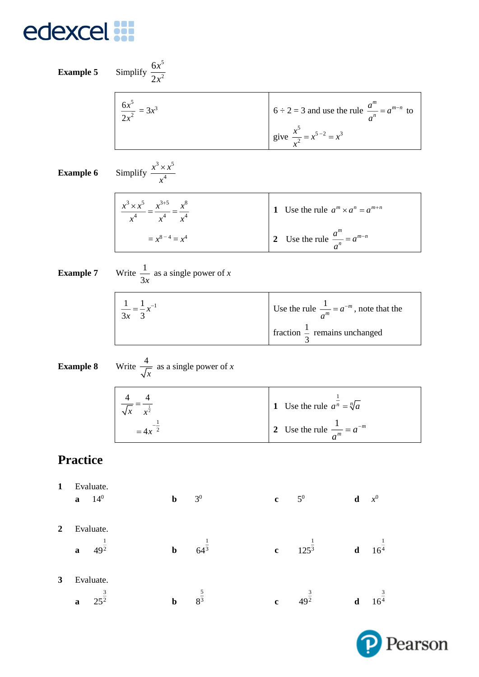# edexcel **in**

|   | <b>Example 5</b>                                                | Simplify $\frac{6x^5}{2x^2}$                                                              |                                          |                                                       |                                            |                                                                                                     |             |                             |
|---|-----------------------------------------------------------------|-------------------------------------------------------------------------------------------|------------------------------------------|-------------------------------------------------------|--------------------------------------------|-----------------------------------------------------------------------------------------------------|-------------|-----------------------------|
|   |                                                                 | $\frac{6x^5}{2x^2} = 3x^3$                                                                |                                          |                                                       |                                            | 6 ÷ 2 = 3 and use the rule $\frac{a^m}{a^n} = a^{m-n}$ to<br>give $\frac{x^5}{x^2} = x^{5-2} = x^3$ |             |                             |
|   |                                                                 |                                                                                           |                                          |                                                       |                                            |                                                                                                     |             |                             |
|   | <b>Example 6</b>                                                | Simplify $\frac{x^3 \times x^5}{x^4}$                                                     |                                          |                                                       |                                            |                                                                                                     |             |                             |
|   |                                                                 | $\frac{x^3 \times x^5}{x^4} = \frac{x^{3+5}}{x^4} = \frac{x^8}{x^4}$<br>= $x^{8-4} = x^4$ |                                          |                                                       |                                            | 1 Use the rule $a^m \times a^n = a^{m+n}$                                                           |             |                             |
|   |                                                                 |                                                                                           |                                          |                                                       | 2 Use the rule $\frac{a^m}{a^n} = a^{m-n}$ |                                                                                                     |             |                             |
|   | Write $\frac{1}{3x}$ as a single power of x<br><b>Example 7</b> |                                                                                           |                                          |                                                       |                                            |                                                                                                     |             |                             |
|   | $rac{1}{3x} = \frac{1}{3}x^{-1}$                                |                                                                                           |                                          | Use the rule $\frac{1}{a^m} = a^{-m}$ , note that the |                                            |                                                                                                     |             |                             |
|   |                                                                 |                                                                                           | fraction $\frac{1}{3}$ remains unchanged |                                                       |                                            |                                                                                                     |             |                             |
|   | <b>Example 8</b>                                                | Write $\frac{4}{\sqrt{x}}$ as a single power of x                                         |                                          |                                                       |                                            |                                                                                                     |             |                             |
|   |                                                                 | $rac{4}{\sqrt{x}} = \frac{4}{x^{\frac{1}{2}}}$                                            |                                          |                                                       |                                            | 1 Use the rule $a^{\frac{1}{n}} = \sqrt[n]{a}$                                                      |             |                             |
|   |                                                                 | $=4x^{-\frac{1}{2}}$                                                                      |                                          |                                                       |                                            | 2 Use the rule $\frac{1}{a^m} = a^{-m}$                                                             |             |                             |
|   | <b>Practice</b>                                                 |                                                                                           |                                          |                                                       |                                            |                                                                                                     |             |                             |
| 1 | Evaluate.<br>$14^{0}$<br>$\mathbf{a}$                           | $\mathbf b$                                                                               |                                          | 3 <sup>0</sup>                                        | $\mathbf{c}$                               | $5^0$                                                                                               | $\mathbf d$ | $x^0$                       |
| 2 | Evaluate.                                                       |                                                                                           |                                          |                                                       |                                            |                                                                                                     |             |                             |
|   | $49^{\frac{1}{2}}$<br>$\mathbf{a}$                              | $\mathbf b$                                                                               |                                          | $64^{\frac{1}{3}}$                                    | $\mathbf c$                                | $125^{\frac{1}{3}}$                                                                                 |             | <b>d</b> $16^{\frac{1}{4}}$ |
| 3 | Evaluate.<br>$25^{\frac{3}{2}}$<br>$\mathbf a$                  | $\mathbf b$                                                                               |                                          | $8^{\frac{5}{3}}$                                     | $\mathbf c$                                | $49^{\frac{3}{2}}$                                                                                  |             | <b>d</b> $16^{\frac{3}{4}}$ |

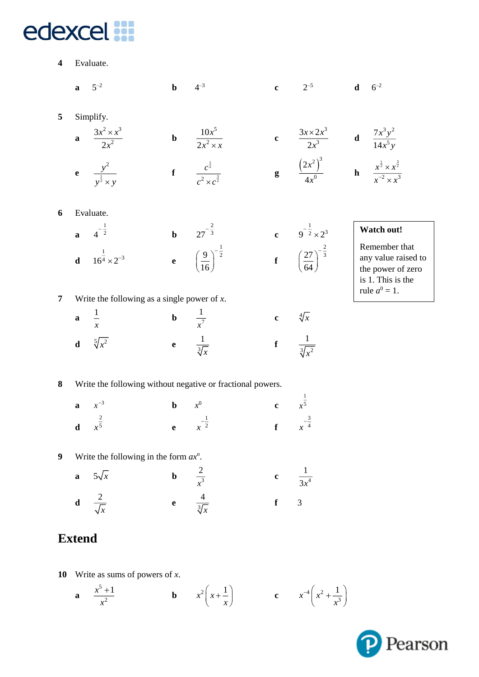**4** Evaluate.

|                  | $\mathbf a$   | $5^{-2}$                                       | $\mathbf b$              | $4^{-3}$                                                      | $\mathbf c$                | $2^{-5}$                                                                                                                | $6^{-2}$<br>$\mathbf d$                                                        |
|------------------|---------------|------------------------------------------------|--------------------------|---------------------------------------------------------------|----------------------------|-------------------------------------------------------------------------------------------------------------------------|--------------------------------------------------------------------------------|
| 5                |               | Simplify.                                      |                          |                                                               |                            |                                                                                                                         |                                                                                |
|                  | $\mathbf{a}$  | $\frac{3x^2 \times x^3}{2x^2}$                 | $\mathbf b$              | $\frac{10x^5}{2x^2 \times x}$                                 | $\mathbf c$                | $rac{3x \times 2x^3}{2x^3}$ <b>d</b> $rac{7x^3y^2}{14x^5y}$                                                             |                                                                                |
|                  |               | e $\frac{y^2}{y^{\frac{1}{2}} \times y}$       |                          | <b>f</b> $\frac{c^{\frac{1}{2}}}{c^2 \times c^{\frac{3}{2}}}$ |                            | <b>g</b> $\left(\frac{2x^2}{4x^0}\right)^3$ <b>h</b> $\frac{x^{\frac{1}{2}} \times x^{\frac{3}{2}}}{x^{-2} \times x^3}$ |                                                                                |
| 6                |               | Evaluate.                                      |                          |                                                               |                            |                                                                                                                         |                                                                                |
|                  |               | <b>a</b> $4^{-\frac{1}{2}}$                    |                          | <b>b</b> $27^{-\frac{2}{3}}$                                  |                            |                                                                                                                         | Watch out!                                                                     |
|                  |               | <b>d</b> $16^{\frac{1}{4}} \times 2^{-3}$      |                          | <b>e</b> $\left(\frac{9}{16}\right)^{-\frac{1}{2}}$           |                            | c $9^{-\frac{1}{2}} \times 2^3$<br>f $\left(\frac{27}{64}\right)^{-\frac{2}{3}}$                                        | Remember that<br>any value raised to<br>the power of zero<br>is 1. This is the |
| $\overline{7}$   |               | Write the following as a single power of $x$ . |                          |                                                               |                            |                                                                                                                         | rule $a^0 = 1$ .                                                               |
|                  | $\mathbf a$   | $\frac{1}{x}$                                  | <b>b</b> $\frac{1}{x^7}$ |                                                               | $\mathbf{c}$               | $\sqrt[4]{x}$                                                                                                           |                                                                                |
|                  | $\mathbf d$   | $\sqrt[5]{x^2}$                                |                          | e $\frac{1}{\sqrt[3]{x}}$                                     |                            | f $\frac{1}{\sqrt[3]{x^2}}$                                                                                             |                                                                                |
| 8                |               |                                                |                          | Write the following without negative or fractional powers.    |                            |                                                                                                                         |                                                                                |
|                  | $\mathbf{a}$  | $x^{-3}$                                       | $\mathbf b$              | $x^0$                                                         | <b>c</b> $x^{\frac{1}{5}}$ |                                                                                                                         |                                                                                |
|                  | $\mathbf d$   | $\frac{2}{x^5}$                                |                          | <b>e</b> $x^{-\frac{1}{2}}$                                   | $\mathbf{f}$               | $\frac{-\frac{3}{4}}{x^{-\frac{3}{4}}}$                                                                                 |                                                                                |
| $\boldsymbol{9}$ |               | Write the following in the form $ax^n$ .       |                          |                                                               |                            |                                                                                                                         |                                                                                |
|                  | $\mathbf{a}$  | $5\sqrt{x}$                                    | $\mathbf b$              | $\frac{2}{x^3}$                                               | $\bf c$                    | $\frac{1}{3x^4}$                                                                                                        |                                                                                |
|                  |               | <b>d</b> $\frac{2}{\sqrt{x}}$                  |                          | e $\frac{4}{\sqrt[3]{x}}$                                     | $\mathbf f$                | $\overline{3}$                                                                                                          |                                                                                |
|                  | <b>Extend</b> |                                                |                          |                                                               |                            |                                                                                                                         |                                                                                |

**10** Write as sums of powers of *x*.

**a** 
$$
\frac{x^5+1}{x^2}
$$
 **b**  $x^2\left(x+\frac{1}{x}\right)$  **c**  $x^{-4}\left(x^2+\frac{1}{x^3}\right)$ 

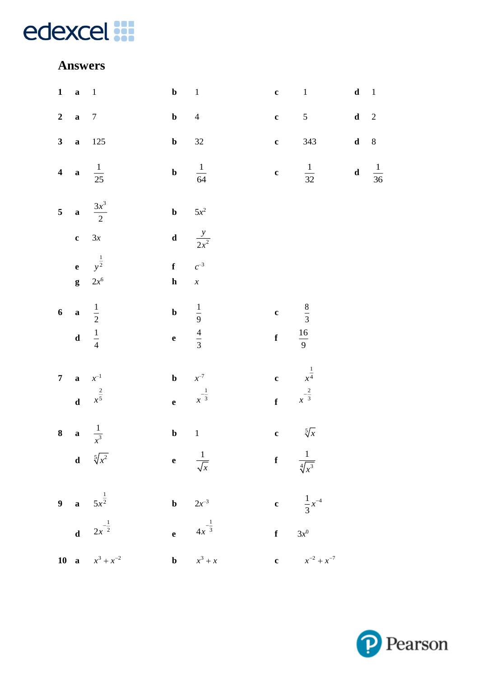#### **Answers**

| $1 \quad a \quad 1$      |                                               | $\mathbf{b}$ 1                      |                                                  |                                                     | $c \t 1$                                        | $\mathbf d-1$ |  |
|--------------------------|-----------------------------------------------|-------------------------------------|--------------------------------------------------|-----------------------------------------------------|-------------------------------------------------|---------------|--|
| 2 a $7$                  |                                               | $\mathbf{b}$ 4                      |                                                  |                                                     | c $5$ d 2                                       |               |  |
|                          | 3 <b>a</b> 125                                | $\mathbf{b}$ 32                     |                                                  |                                                     | <b>c</b> 343 <b>d</b> 8                         |               |  |
|                          | 4 <b>a</b> $\frac{1}{25}$                     |                                     | <b>b</b> $\frac{1}{64}$                          |                                                     | <b>c</b> $\frac{1}{32}$ <b>d</b> $\frac{1}{36}$ |               |  |
|                          | 5 <b>a</b> $\frac{3x^3}{2}$                   | <b>b</b> $5x^2$                     |                                                  |                                                     |                                                 |               |  |
|                          | $c \quad 3x$                                  |                                     | <b>d</b> $\frac{y}{2x^2}$                        |                                                     |                                                 |               |  |
|                          | <b>e</b> $y^{\frac{1}{2}}$<br><b>g</b> $2x^6$ | $f \qquad c^{-3}$<br>$\mathbf{h}$ x |                                                  |                                                     |                                                 |               |  |
| 6 <b>a</b> $\frac{1}{2}$ |                                               |                                     | <b>b</b> $\frac{1}{9}$<br><b>e</b> $\frac{4}{3}$ | c $\frac{8}{3}$                                     |                                                 |               |  |
| d $\frac{1}{4}$          |                                               |                                     |                                                  | <b>f</b> $\frac{16}{9}$                             |                                                 |               |  |
| <b>7 a</b> $x^{-1}$      |                                               | <b>b</b> $x^{-7}$                   |                                                  | c $\frac{1}{x^4}$<br>f $\frac{2}{x^{-\frac{2}{3}}}$ |                                                 |               |  |
|                          | <b>d</b> $x^{\frac{2}{5}}$                    |                                     | <b>e</b> $x^{-\frac{1}{3}}$                      |                                                     |                                                 |               |  |
|                          | 8 <b>a</b> $\frac{1}{x^3}$                    | $\mathbf{b} \qquad 1$               |                                                  |                                                     | c $5\sqrt{x}$                                   |               |  |
|                          | <b>d</b> $\sqrt[5]{x^2}$                      |                                     | e $\frac{1}{\sqrt{x}}$                           | $\int$ $\frac{1}{\sqrt[4]{x^3}}$                    |                                                 |               |  |
|                          | 9 <b>a</b> $5x^{\frac{1}{2}}$                 |                                     | <b>b</b> $2x^{-3}$                               |                                                     | c $\frac{1}{3}x^{-4}$                           |               |  |
|                          | <b>d</b> $2x^{-\frac{1}{2}}$                  |                                     | <b>e</b> $4x^{-\frac{1}{3}}$                     |                                                     | f $3x^0$                                        |               |  |
|                          | 10 <b>a</b> $x^3 + x^{-2}$                    |                                     | <b>b</b> $x^3 + x$                               |                                                     | <b>c</b> $x^{-2} + x^{-7}$                      |               |  |

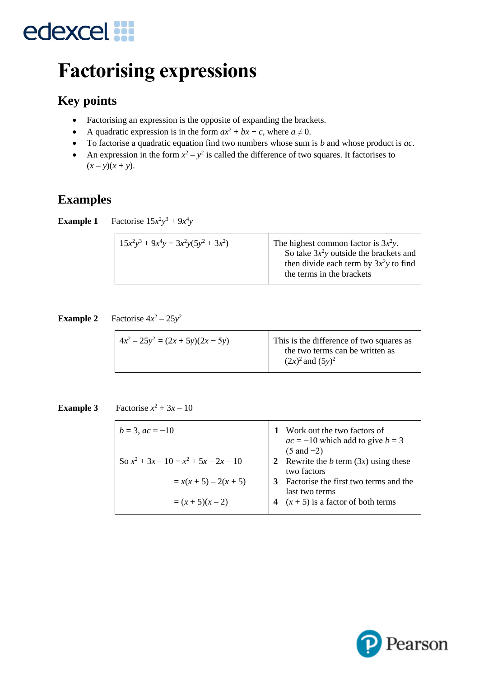### **Factorising expressions**

### **Key points**

- Factorising an expression is the opposite of expanding the brackets.
- A quadratic expression is in the form  $ax^2 + bx + c$ , where  $a \ne 0$ .
- To factorise a quadratic equation find two numbers whose sum is *b* and whose product is *ac*.
- An expression in the form  $x^2 y^2$  is called the difference of two squares. It factorises to  $(x - y)(x + y)$ .

#### **Examples**

**Example 1** Factorise  $15x^2y^3 + 9x^4y$ 

| $15x^2y^3 + 9x^4y = 3x^2y(5y^2 + 3x^2)$ | The highest common factor is $3x^2y$ .<br>So take $3x^2y$ outside the brackets and<br>then divide each term by $3x^2y$ to find<br>the terms in the brackets |
|-----------------------------------------|-------------------------------------------------------------------------------------------------------------------------------------------------------------|
|-----------------------------------------|-------------------------------------------------------------------------------------------------------------------------------------------------------------|

**Example 2** Factorise  $4x^2 - 25y^2$ 

|--|

**Example 3** Factorise  $x^2 + 3x - 10$ 

| $b = 3$ , $ac = -10$                    | 1 Work out the two factors of<br>$ac = -10$ which add to give $b = 3$ |  |
|-----------------------------------------|-----------------------------------------------------------------------|--|
|                                         | $(5 \text{ and } -2)$                                                 |  |
| So $x^2 + 3x - 10 = x^2 + 5x - 2x - 10$ | 2 Rewrite the b term $(3x)$ using these                               |  |
|                                         | two factors                                                           |  |
| $= x(x+5) - 2(x+5)$                     | Factorise the first two terms and the                                 |  |
|                                         | last two terms                                                        |  |
| $=(x+5)(x-2)$                           | $(x + 5)$ is a factor of both terms                                   |  |
|                                         |                                                                       |  |

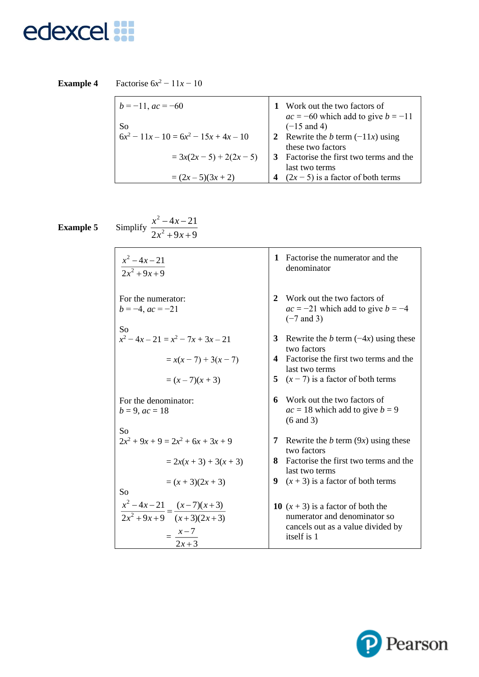**Example 4** Factorise  $6x^2 - 11x - 10$ 

| $b = -11$ , $ac = -60$                   | 1 Work out the two factors of                            |
|------------------------------------------|----------------------------------------------------------|
| So                                       | $ac = -60$ which add to give $b = -11$<br>$(-15$ and 4)  |
| $6x^2 - 11x - 10 = 6x^2 - 15x + 4x - 10$ | 2 Rewrite the b term $(-11x)$ using<br>these two factors |
| $= 3x(2x-5) + 2(2x - 5)$                 | Factorise the first two terms and the                    |
| $=(2x-5)(3x+2)$                          | last two terms<br>$(2x - 5)$ is a factor of both terms   |

**Example 5** Simplify

2  $4x - 21$  $2x^2 + 9x + 9$  $x - 4x$ *x x* ーチェー  $+9x+$ 

2

| $x^2 - 4x - 21$<br>$2x^2 + 9x + 9$                                                          | Factorise the numerator and the<br>1<br>denominator                                                                      |
|---------------------------------------------------------------------------------------------|--------------------------------------------------------------------------------------------------------------------------|
| For the numerator:<br>$b = -4$ , $ac = -21$<br>So                                           | Work out the two factors of<br>2<br>$ac = -21$ which add to give $b = -4$<br>$(-7$ and 3)                                |
| $x^2-4x-21 = x^2-7x+3x-21$                                                                  | 3<br>Rewrite the b term $(-4x)$ using these<br>two factors                                                               |
| $= x(x-7) + 3(x - 7)$                                                                       | Factorise the first two terms and the<br>$\mathbf 4$<br>last two terms                                                   |
| $=(x-7)(x+3)$                                                                               | 5 $(x - 7)$ is a factor of both terms                                                                                    |
| For the denominator:<br>$b = 9$ , $ac = 18$                                                 | Work out the two factors of<br>6<br>$ac = 18$ which add to give $b = 9$<br>$(6 \text{ and } 3)$                          |
| So<br>$2x^2 + 9x + 9 = 2x^2 + 6x + 3x + 9$                                                  | Rewrite the b term $(9x)$ using these<br>7<br>two factors                                                                |
| $= 2x(x + 3) + 3(x + 3)$                                                                    | Factorise the first two terms and the<br>8<br>last two terms                                                             |
| $=(x+3)(2x+3)$                                                                              | $(x + 3)$ is a factor of both terms<br>9                                                                                 |
| So<br>$\frac{x^2-4x-21}{2x^2+9x+9} = \frac{(x-7)(x+3)}{(x+3)(2x+3)}$<br>$=\frac{x-7}{2x+3}$ | 10 $(x + 3)$ is a factor of both the<br>numerator and denominator so<br>cancels out as a value divided by<br>itself is 1 |

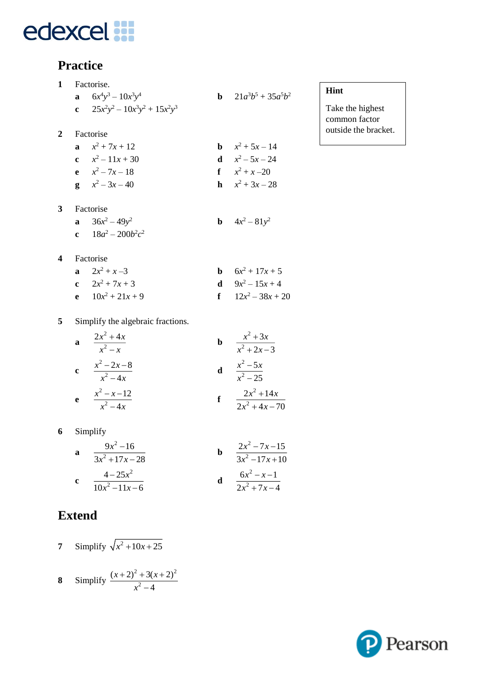#### **Practice**

| 1 | Factorise.                         |                                |
|---|------------------------------------|--------------------------------|
|   | <b>a</b> $6x^4y^3 - 10x^3y^4$      | <b>b</b> $21a^3b^5 + 35a^5b^2$ |
|   | c $25x^2y^2 - 10x^3y^2 + 15x^2y^3$ |                                |
| 2 | Factorise                          |                                |
|   | a $x^2 + 7x + 12$                  | <b>b</b> $x^2 + 5x - 14$       |
|   | c $x^2-11x+30$                     | <b>d</b> $x^2 - 5x - 24$       |
|   | $x^2 - 7x - 18$                    | $f \t x^2 + x - 20$            |
|   | $g \quad x^2 - 3x - 40$            | <b>h</b> $x^2 + 3x - 28$       |
| 3 | Factorise                          |                                |
|   | a $36x^2 - 49y^2$                  | <b>b</b> $4x^2 - 81y^2$        |
|   | c $18a^2 - 200b^2c^2$              |                                |
|   |                                    |                                |

#### **Hint**

Take the highest common factor outside the bracket.

**4** Factorise

| a $2x^2 + x - 3$    | <b>b</b> $6x^2 + 17x + 5$ |
|---------------------|---------------------------|
| c $2x^2 + 7x + 3$   | <b>d</b> $9x^2 - 15x + 4$ |
| e $10x^2 + 21x + 9$ | f $12x^2-38x+20$          |

**5** Simplify the algebraic fractions.

| a | $2x^2 + 4x$<br>$x^2-x$     |   | $x^2+3x$<br>$x^2 + 2x - 3$       |
|---|----------------------------|---|----------------------------------|
| c | $x^2 - 2x - 8$<br>$x^2-4x$ | d | $x^2$ – 5x<br>$x^2 - 25$         |
| e | $x^2 - x - 12$<br>$x^2-4x$ |   | $2x^2 + 14x$<br>$2x^2 + 4x - 70$ |

**6** Simplify

**a** 
$$
\frac{9x^2 - 16}{3x^2 + 17x - 28}
$$
  
\n**b** 
$$
\frac{2x^2 - 7x - 15}{3x^2 - 17x + 10}
$$
  
\n**c** 
$$
\frac{4 - 25x^2}{10x^2 - 11x - 6}
$$
  
\n**d** 
$$
\frac{6x^2 - x - 1}{2x^2 + 7x - 4}
$$

### **Extend**

**7** Simplify  $\sqrt{x^2 + 10x + 25}$ 

8 Simplify 
$$
\frac{(x+2)^2 + 3(x+2)^2}{x^2 - 4}
$$